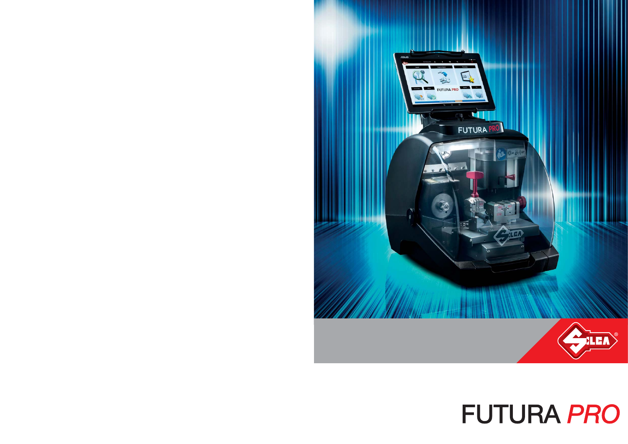

# **FUTURA PRO**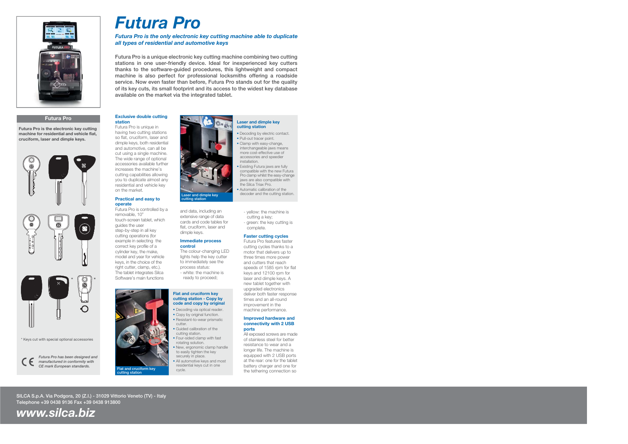

## **Futura Pro**

**Futura Pro is the electronic key cutting machine for residential and vehicle flat, cruciform, laser and dimple keys.**



\* Keys cut with special optional accessories



*Futura Pro has been designed and manufactured in conformity with CE mark European standards.*

## *Futura Pro*

## *Futura Pro is the only electronic key cutting machine able to duplicate all types of residential and automotive keys*

**Futura Pro is a unique electronic key cutting machine combining two cutting stations in one user-friendly device. Ideal for inexperienced key cutters thanks to the software-guided procedures, this lightweight and compact machine is also perfect for professional locksmiths offering a roadside service. Now even faster than before, Futura Pro stands out for the quality of its key cuts, its small footprint and its access to the widest key database available on the market via the integrated tablet.**

## **Exclusive double cutting station**

Futura Pro is unique in having two cutting stations so flat, cruciform, laser and dimple keys, both residential and automotive, can all be cut using a single machine. The wide range of optional accessories available further increases the machine's cutting capabilities allowing you to duplicate almost any residential and vehicle key on the market.

### **Practical and easy to operate**

Futura Pro is controlled by a removable, 10" touch-screen tablet, which guides the user step-by-step in all key cutting operations (for example in selecting the correct key profile of a cylinder key, the make, model and year for vehicle keys, in the choice of the right cutter, clamp, etc.). The tablet integrates Silca Software's main functions





and data, including an extensive range of data cards and code tables for flat, cruciform, laser and dimple keys.

### **Immediate process control**

The colour-changing LED lights help the key cutter to immediately see the process status:

- white: the machine is ready to proceed;

#### **Flat and cruciform key cutting station - Copy by code and copy by original**

- Decoding via optical reader.
- **Copy by original function.**
- Resistant-to-wear prismatic cutter.
- Guided calibration of thecutting station.
- г Four-sided clamp with fast
- rotating solution. New, ergonomic clamp handle
- to easily tighten the key securely in place.
- All automotive keys and most residential keys cut in one cycle.

#### **Laser and dimple key cutting station**

- Decoding by electric contact.
- Pull-out tracer point. • Clamp with easy-change,
- interchangeable jaws means more cost-effective use of accessories and speedier installation.
- Existing Futura jaws are fully compatible with the new Futura Pro clamp whilst the easy-change jaws are also compatible with the Silca Triax Pro.
- Automatic calibration of the decoder and the cutting station.
	- yellow: the machine is cutting a key;
	- green: the key cutting is complete.

## **Faster cutting cycles**

Futura Pro features faster cutting cycles thanks to a motor that delivers up to three times more power and cutters that reach speeds of 1585 rpm for flat keys and 12100 rpm for laser and dimple keys. A new tablet together with upgraded electronics deliver both faster response times and an all-round improvement in the machine performance.

### **Improved hardware and connectivity with 2 USB ports**

All exposed screws are made of stainless steel for better resistance to wear and a longer life. The machine is equipped with 2 USB ports at the rear: one for the tablet battery charger and one for the tethering connection so

**SILCA S.p.A. Via Podgora, 20 (Z.I.) - 31029 Vittorio Veneto (TV) - Italy Telephone +39 0438 9136 Fax +39 0438 913800**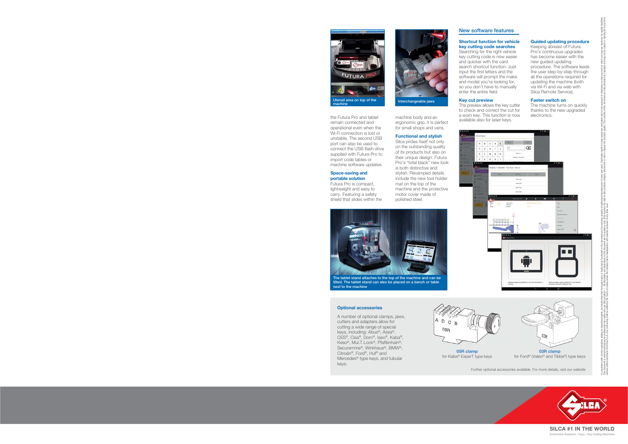











**SILCA #1 IN THE WORLD**Automotive Solutions / Keys / Key Cutting Machines